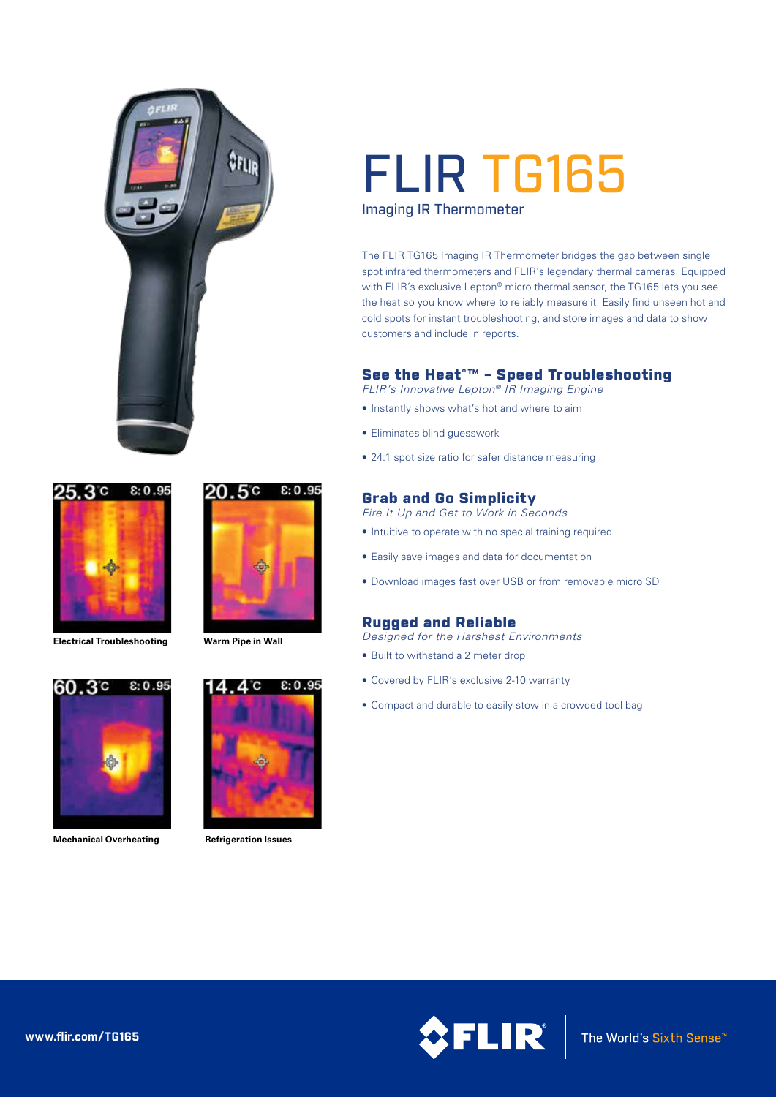



**Electrical Troubleshooting Warm Pipe in Wall**





**Mechanical Overheating**





**Refrigeration Issues**

# FLIR TG165

Imaging IR Thermometer

The FLIR TG165 Imaging IR Thermometer bridges the gap between single spot infrared thermometers and FLIR's legendary thermal cameras. Equipped with FLIR's exclusive Lepton® micro thermal sensor, the TG165 lets you see the heat so you know where to reliably measure it. Easily find unseen hot and cold spots for instant troubleshooting, and store images and data to show customers and include in reports.

# See the Heat°™ - Speed Troubleshooting

*FLIR's Innovative Lepton® IR Imaging Engine*

- Instantly shows what's hot and where to aim
- Eliminates blind guesswork
- 24:1 spot size ratio for safer distance measuring

# Grab and Go Simplicity

*Fire It Up and Get to Work in Seconds*

- Intuitive to operate with no special training required
- Easily save images and data for documentation
- Download images fast over USB or from removable micro SD

## Rugged and Reliable

- *Designed for the Harshest Environments*
- Built to withstand a 2 meter drop
- Covered by FLIR's exclusive 2-10 warranty
- Compact and durable to easily stow in a crowded tool bag